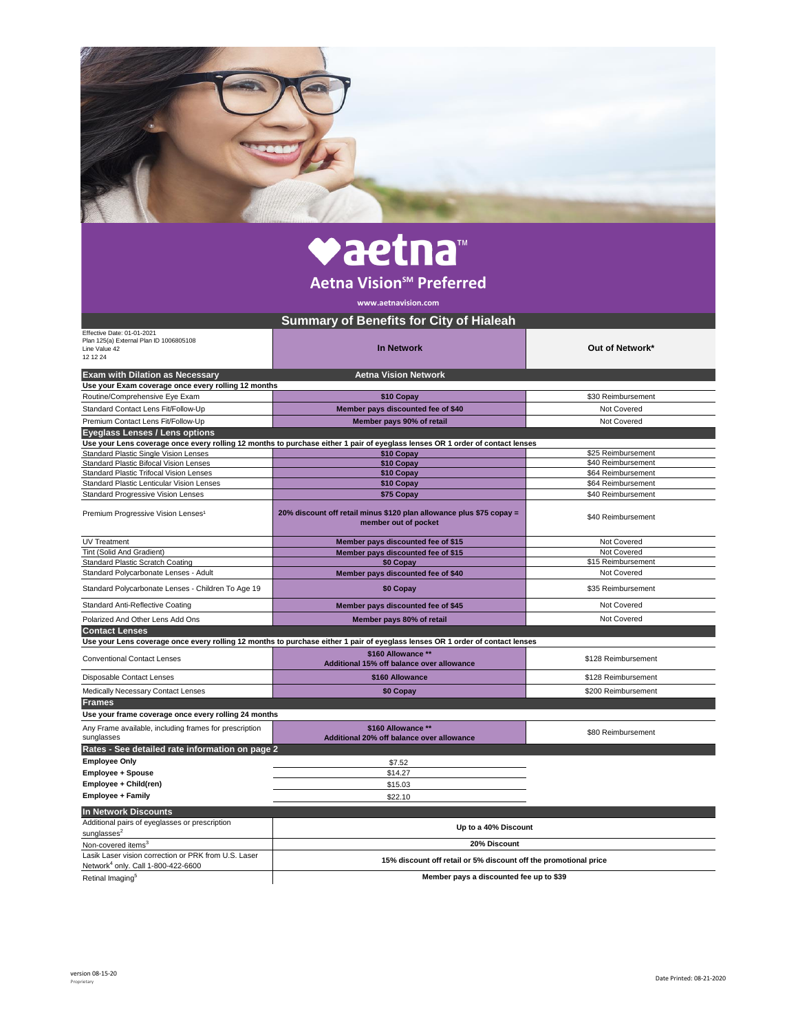| vaetna                                                                                                 |                                                                                                                               |                                          |  |  |
|--------------------------------------------------------------------------------------------------------|-------------------------------------------------------------------------------------------------------------------------------|------------------------------------------|--|--|
| Aetna Vision <sup>5M</sup> Preferred                                                                   |                                                                                                                               |                                          |  |  |
| www.aetnavision.com                                                                                    |                                                                                                                               |                                          |  |  |
|                                                                                                        | <b>Summary of Benefits for City of Hialeah</b>                                                                                |                                          |  |  |
| Effective Date: 01-01-2021<br>Plan 125(a) External Plan ID 1006805108<br>Line Value 42<br>12 12 24     | <b>In Network</b>                                                                                                             | Out of Network*                          |  |  |
| <b>Aetna Vision Network</b><br><b>Exam with Dilation as Necessary</b>                                  |                                                                                                                               |                                          |  |  |
| Use your Exam coverage once every rolling 12 months<br>Routine/Comprehensive Eye Exam                  | \$10 Copay                                                                                                                    | \$30 Reimbursement                       |  |  |
| Standard Contact Lens Fit/Follow-Up                                                                    | Member pays discounted fee of \$40                                                                                            | Not Covered                              |  |  |
| Premium Contact Lens Fit/Follow-Up                                                                     | Member pays 90% of retail                                                                                                     | Not Covered                              |  |  |
| <b>Eyeglass Lenses / Lens options</b>                                                                  |                                                                                                                               |                                          |  |  |
|                                                                                                        | Use your Lens coverage once every rolling 12 months to purchase either 1 pair of eyeglass lenses OR 1 order of contact lenses |                                          |  |  |
| <b>Standard Plastic Single Vision Lenses</b>                                                           | \$10 Copay                                                                                                                    | \$25 Reimbursement<br>\$40 Reimbursement |  |  |
| Standard Plastic Bifocal Vision Lenses<br>Standard Plastic Trifocal Vision Lenses                      | \$10 Copay<br>\$10 Copay                                                                                                      | \$64 Reimbursement                       |  |  |
| Standard Plastic Lenticular Vision Lenses                                                              | \$10 Copay                                                                                                                    | \$64 Reimbursement                       |  |  |
| <b>Standard Progressive Vision Lenses</b>                                                              | \$75 Copay                                                                                                                    | \$40 Reimbursement                       |  |  |
| Premium Progressive Vision Lenses <sup>1</sup>                                                         | 20% discount off retail minus \$120 plan allowance plus \$75 copay =<br>member out of pocket                                  | \$40 Reimbursement                       |  |  |
| <b>UV Treatment</b>                                                                                    | Member pays discounted fee of \$15                                                                                            | Not Covered                              |  |  |
| Tint (Solid And Gradient)                                                                              | Member pays discounted fee of \$15                                                                                            | Not Covered                              |  |  |
| <b>Standard Plastic Scratch Coating</b><br>Standard Polycarbonate Lenses - Adult                       | \$0 Copay                                                                                                                     | \$15 Reimbursement<br>Not Covered        |  |  |
| Standard Polycarbonate Lenses - Children To Age 19                                                     | Member pays discounted fee of \$40<br>\$0 Copay                                                                               | \$35 Reimbursement                       |  |  |
| Standard Anti-Reflective Coating                                                                       | Member pays discounted fee of \$45                                                                                            | Not Covered                              |  |  |
| Polarized And Other Lens Add Ons                                                                       | Member pays 80% of retail                                                                                                     | Not Covered                              |  |  |
| <b>Contact Lenses</b>                                                                                  |                                                                                                                               |                                          |  |  |
|                                                                                                        | Use your Lens coverage once every rolling 12 months to purchase either 1 pair of eyeglass lenses OR 1 order of contact lenses |                                          |  |  |
| <b>Conventional Contact Lenses</b>                                                                     | \$160 Allowance **<br>Additional 15% off balance over allowance                                                               | \$128 Reimbursement                      |  |  |
| Disposable Contact Lenses                                                                              | \$160 Allowance                                                                                                               | \$128 Reimbursement                      |  |  |
| Medically Necessary Contact Lenses                                                                     | \$0 Copay                                                                                                                     | \$200 Reimbursement                      |  |  |
| <b>Frames</b>                                                                                          |                                                                                                                               |                                          |  |  |
| Use your frame coverage once every rolling 24 months                                                   |                                                                                                                               |                                          |  |  |
| Any Frame available, including frames for prescription<br>sunglasses                                   | \$160 Allowance **<br>Additional 20% off balance over allowance                                                               | \$80 Reimbursement                       |  |  |
| Rates - See detailed rate information on page 2                                                        |                                                                                                                               |                                          |  |  |
| <b>Employee Only</b>                                                                                   | \$7.52                                                                                                                        |                                          |  |  |
| Employee + Spouse                                                                                      | \$14.27                                                                                                                       |                                          |  |  |
| Employee + Child(ren)                                                                                  | \$15.03                                                                                                                       |                                          |  |  |
| <b>Employee + Family</b>                                                                               | \$22.10                                                                                                                       |                                          |  |  |
| <b>In Network Discounts</b>                                                                            |                                                                                                                               |                                          |  |  |
| Additional pairs of eyeglasses or prescription                                                         | Up to a 40% Discount                                                                                                          |                                          |  |  |
| sunglasses <sup>2</sup><br>Non-covered items <sup>3</sup>                                              | 20% Discount                                                                                                                  |                                          |  |  |
| Lasik Laser vision correction or PRK from U.S. Laser<br>Network <sup>4</sup> only. Call 1-800-422-6600 | 15% discount off retail or 5% discount off the promotional price                                                              |                                          |  |  |
| Retinal Imaging <sup>5</sup>                                                                           | Member pays a discounted fee up to \$39                                                                                       |                                          |  |  |